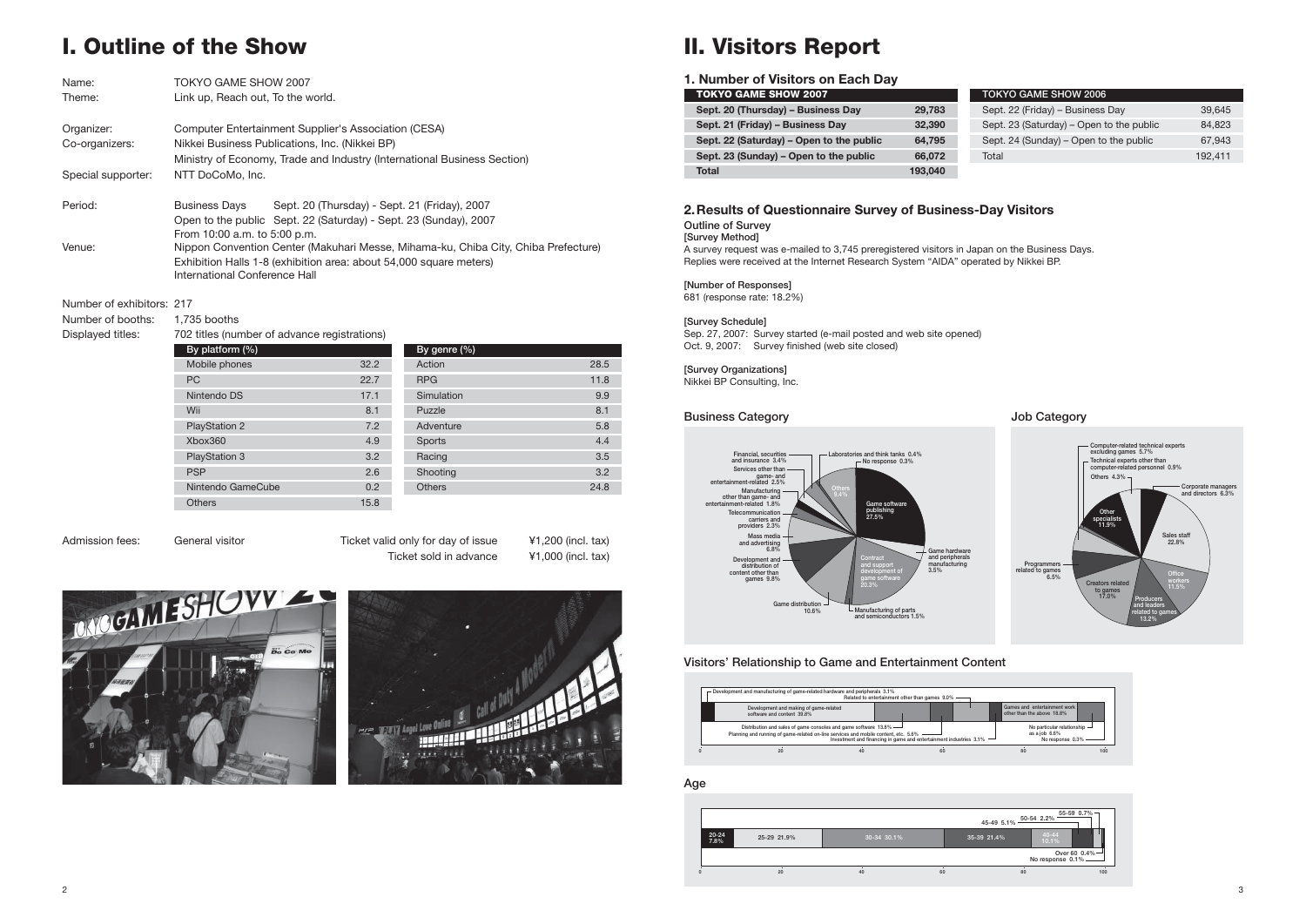**Outline of Survey**

**[Survey Method]** A survey request was e-mailed to 3,745 preregistered visitors in Japan on the Business Days. Replies were received at the Internet Research System "AIDA" operated by Nikkei BP.

#### **[Number of Responses]**

681 (response rate: 18.2%)

#### **[Survey Schedule]**

Sep. 27, 2007: Survey started (e-mail posted and web site opened) Oct. 9, 2007: Survey finished (web site closed)

**[Survey Organizations]** Nikkei BP Consulting, Inc.



#### **Visitors' Relationship to Game and Entertainment Content**



### **2. Results of Questionnaire Survey of Business-Day Visitors**



#### **Business Category**

|                   |             |             |    | 45-49 5.1%  | 50-54 2.2%            | 55-59 0.7%    |
|-------------------|-------------|-------------|----|-------------|-----------------------|---------------|
| $20 - 24$<br>7.8% | 25-29 21.9% | 30-34 30.1% |    | 35-39 21.4% | $40 - 44$<br>$10.1\%$ |               |
|                   |             |             |    |             | No response $0.1\%$ - | Over 60 0.4%- |
|                   | 20          | 40          | 60 | 80          |                       | 100           |



#### **Age**

# **I. Outline of the Show**

| Name:              | <b>TOKYO GAME SHOW 2007</b>                                                        |
|--------------------|------------------------------------------------------------------------------------|
| Theme:             | Link up, Reach out, To the world.                                                  |
| Organizer:         | Computer Entertainment Supplier's Association (CESA)                               |
| Co-organizers:     | Nikkei Business Publications, Inc. (Nikkei BP)                                     |
|                    | Ministry of Economy, Trade and Industry (International Business Section)           |
| Special supporter: | NTT DoCoMo, Inc.                                                                   |
| Period:            | Sept. 20 (Thursday) - Sept. 21 (Friday), 2007<br><b>Business Days</b>              |
|                    | Open to the public Sept. 22 (Saturday) - Sept. 23 (Sunday), 2007                   |
|                    | From 10:00 a.m. to 5:00 p.m.                                                       |
| Venue:             | Nippon Convention Center (Makuhari Messe, Mihama-ku, Chiba City, Chiba Prefecture) |
|                    | Exhibition Halls 1-8 (exhibition area: about 54,000 square meters)                 |
|                    | International Conference Hall                                                      |
|                    |                                                                                    |

Number of exhibitors: 217

Number of booths: 1,735 booths

Displayed titles: 702 titles (number of advance registrations)

| By platform (%)      |      | By genre (%)  |
|----------------------|------|---------------|
| Mobile phones        | 32.2 | Action        |
| PC.                  | 22.7 | <b>RPG</b>    |
| Nintendo DS          | 17.1 | Simulation    |
| Wii                  | 8.1  | Puzzle        |
| <b>PlayStation 2</b> | 7.2  | Adventure     |
| Xbox360              | 4.9  | Sports        |
| <b>PlayStation 3</b> | 3.2  | Racing        |
| <b>PSP</b>           | 2.6  | Shooting      |
| Nintendo GameCube    | 0.2  | <b>Others</b> |
| <b>Others</b>        | 15.8 |               |

| Diopiayou titioo. | TUE throughout of advance region anonic) |      |                                                                                                                                                                              |      |  |  |
|-------------------|------------------------------------------|------|------------------------------------------------------------------------------------------------------------------------------------------------------------------------------|------|--|--|
|                   | By platform (%)                          |      | By genre $(\%)$                                                                                                                                                              |      |  |  |
|                   | Mobile phones                            | 32.2 | Action                                                                                                                                                                       | 28.5 |  |  |
|                   | <b>PC</b>                                | 22.7 | 11.8<br><b>RPG</b><br>9.9<br>17.1<br>Simulation<br>8.1<br>8.1<br>Puzzle<br>5.8<br>7.2<br>Adventure<br>4.4<br>4.9<br>Sports<br>3.5<br>3.2<br>Racing<br>3.2<br>2.6<br>Shooting |      |  |  |
|                   | Nintendo DS                              |      |                                                                                                                                                                              |      |  |  |
|                   | Wii                                      |      |                                                                                                                                                                              |      |  |  |
|                   | <b>PlayStation 2</b>                     |      |                                                                                                                                                                              |      |  |  |
|                   | Xbox360                                  |      |                                                                                                                                                                              |      |  |  |
|                   | <b>PlayStation 3</b>                     |      |                                                                                                                                                                              |      |  |  |
|                   | <b>PSP</b>                               |      |                                                                                                                                                                              |      |  |  |
|                   | Nintendo GameCube                        | 0.2  | <b>Others</b>                                                                                                                                                                | 24.8 |  |  |
|                   |                                          |      |                                                                                                                                                                              |      |  |  |

Admission fees: General visitor Ticket valid only for day of issue ¥1,200 (incl. tax) Ticket sold in advance ¥1,000 (incl. tax)





# **II. Visitors Report**

### **1. Number of Visitors on Each Day**

| <b>TOKYO GAME SHOW 2007</b>              |         | <b>TOKYO GAME SHOW 2006</b>              |         |
|------------------------------------------|---------|------------------------------------------|---------|
| Sept. 20 (Thursday) - Business Day       | 29,783  | Sept. 22 (Friday) - Business Day         | 39,645  |
| Sept. 21 (Friday) - Business Day         | 32,390  | Sept. 23 (Saturday) – Open to the public | 84.823  |
| Sept. 22 (Saturday) - Open to the public | 64.795  | Sept. 24 (Sunday) – Open to the public   | 67.943  |
| Sept. 23 (Sunday) – Open to the public   | 66,072  | Total                                    | 192.411 |
| <b>Total</b>                             | 193,040 |                                          |         |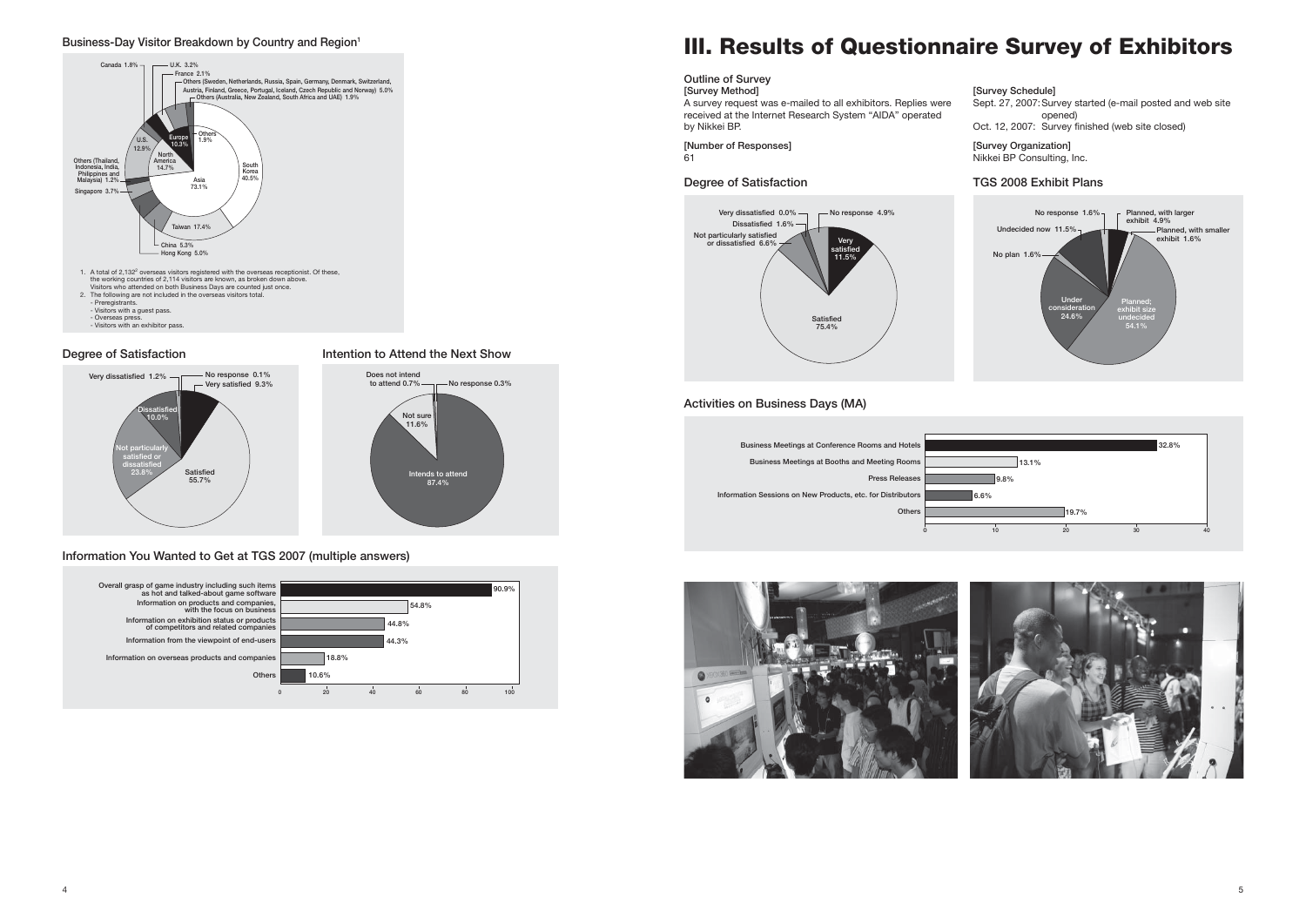

#### **Business-Day Visitor Breakdown by Country and Region1**



#### **Degree of Satisfaction 19.12 Intention to Attend the Next Show**

**[Survey Organization]** likkei BP Consulting, Inc.

# **III. Results of Questionnaire Survey of Exhibitors**

| <b>Outline of Survey</b><br>[Survey Method]                                                                               | ΓS       |
|---------------------------------------------------------------------------------------------------------------------------|----------|
| A survey request was e-mailed to all exhibitors. Replies were<br>received at the Internet Research System "AIDA" operated | $S_6$    |
| by Nikkei BP.                                                                                                             | Ω        |
| [Number of Responses]<br>61                                                                                               | ΓS<br>Ni |

#### **[Survey Schedule]**

Sept. 27, 2007: Survey started (e-mail posted and web site opened)

Oct. 12, 2007: Survey finished (web site closed)



### **Degree of Satisfaction**



### **TGS 2008 Exhibit Plans**









#### **Information You Wanted to Get at TGS 2007 (multiple answers)**

### **Activities on Business Days (MA)**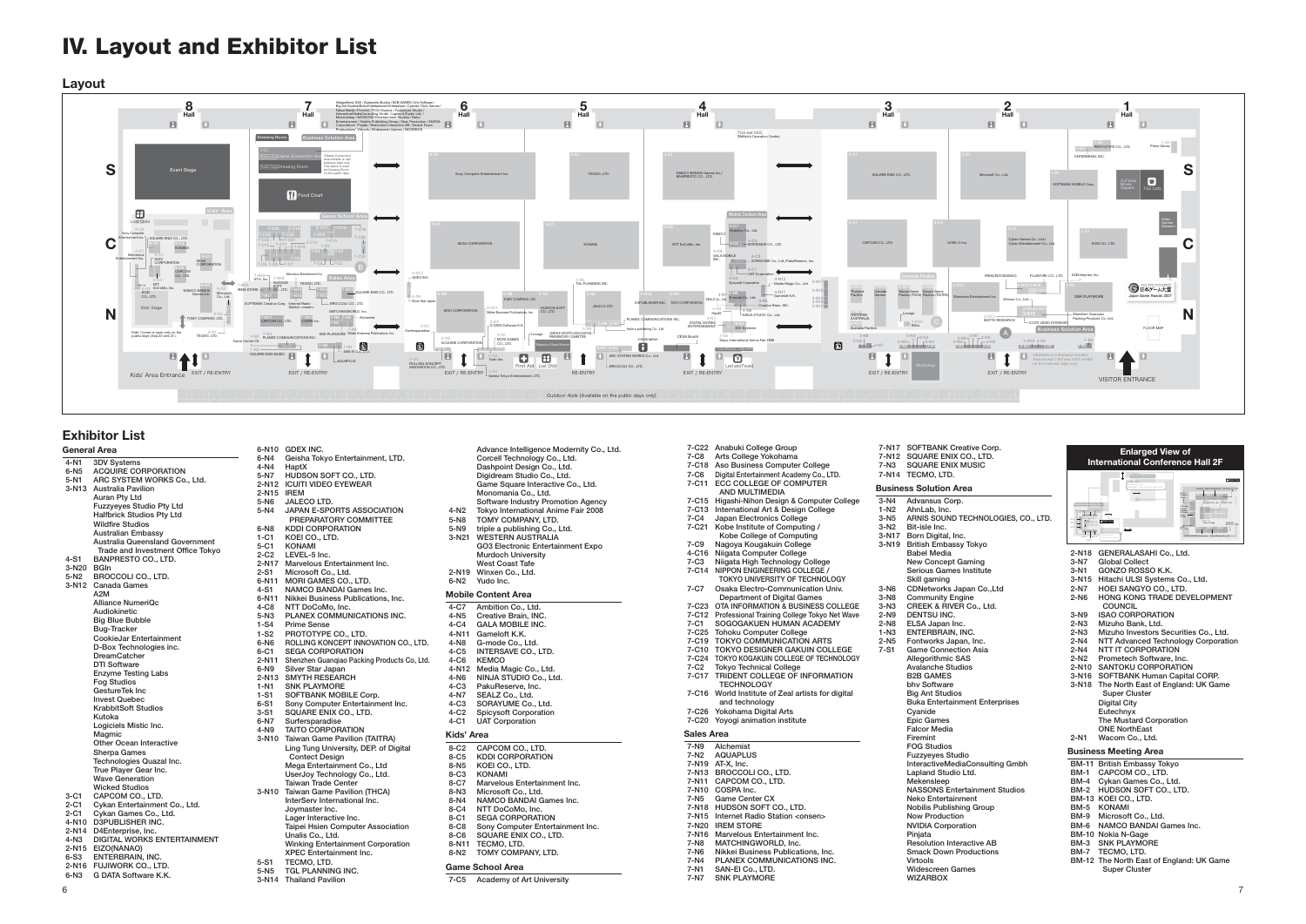#### **General Area**

**4-N1 3DV Systems 6-N5 ACQUIRE CORPORATION 5-N1 ARC SYSTEM WORKS Co., Ltd. 3-N13 Australia Pavilion Auran Pty Ltd Fuzzyeyes Studio Pty Ltd Halfbrick Studios Pty Ltd Wildfire Studios Australian Embassy Australia Queensland Government Trade and Investment Office Tokyo 4-S1 BANPRESTO CO., LTD. 3-N20 BGIn 5-N2 BROCCOLI CO., LTD. 3-N12 Canada Games A2M Alliance NumeriQc Audiokinetic Big Blue Bubble Bug-Tracker CookieJar Entertainment D-Box Technologies inc. DreamCatcher DTI Software Enzyme Testing Labs Fog Studios GestureTek Inc Invest Quebec KrabbitSoft Studios Kutoka Logiciels Mistic Inc. Magmic Other Ocean Interactive Sherpa Games Technologies Quazal Inc. True Player Gear Inc. Wave Generation Wicked Studios 3-C1 CAPCOM CO., LTD.** 2-C1 Cykan Entertainment Co., Ltd.<br>2-C1 Cykan Games Co. Ltd. **2-C1 Cykan Games Co., Ltd. 4-N10 D3PUBLISHER INC. 2-N14 D4Enterprise, Inc. 4-N3 DIGITAL WORKS ENTERTAINMENT**

- **2-N15 EIZO(NANAO) 6-S3 ENTERBRAIN, INC.**
- **2-N16 FUJIWORK CO., LTD.**
- 
- **6-N3 G DATA Software K.K.**
- **Software Industry Promotion Agency**<br>4-N2 Tokyo International Anime Fair 2008
- **4-N2 Tokyo International Anime Fair 2008 5-N8 TOMY COMPANY, LTD.**
- 
- **5-N9 triple a publishing Co., Ltd. 3-N21 WESTERN AUSTRALIA**
- **GO3 Electronic Entertainment Expo Murdoch University West Coast Tafe**
- **2-N19 Winxen Co., Ltd.**
- **6-N10 GDEX INC.**
- **6-N4 Geisha Tokyo Entertainment, LTD.**
- **4-N4 HaptX**
- **5-N7 HUDSON SOFT CO., LTD. 2-N12 ICUITI VIDEO EYEWEAR**
- **2-N15 IREM**
- **5-N6 JALECO LTD.**
- **5-N4 JAPAN E-SPORTS ASSOCIATION PREPARATORY COMMITTEE**
- 
- **6-N8 KDDI CORPORATION**
- **1-C1 KOEI CO., LTD.**
- **5-C1 KONAMI**
- **2-C2 LEVEL-5 Inc.**
- **2-N17 Marvelous Entertainment Inc.**
- **2-S1 Microsoft Co., Ltd.**
- **6-N11 MORI GAMES CO., LTD.**
- **4-S1 NAMCO BANDAI Games Inc.6-N11 Nikkei Business Publications, Inc.**
- 
- **4-C8 NTT DoCoMo, Inc. 5-N3 PLANEX COMMUNICATIONS INC.**
- 
- **1-S4 Prime Sense 1-S2 PROTOTYPE CO., LTD.**
- **6-N6 ROLLING KONCEPT INNOVATION CO., LTD.**
- **6-C1 SEGA CORPORATION 2-N11 Shenzhen Guanqiao Packing Products Co, Ltd.**
- **6-N9 Silver Star Japan**
- **2-N13 SMYTH RESEARCH**
- **1-N1 SNK PLAYMORE**
- **1-S1 SOFTBANK MOBILE Corp.**
- **6-S1 Sony Computer Entertainment Inc. 3-S1 SQUARE ENIX CO., LTD.**
- 
- **6-N7 Surfersparadise**
- **4-N9 TAITO CORPORATION 3-N10 Taiwan Game Pavilion (TAITRA) Ling Tung University, DEP. of Digital**
- **Contect Design Mega Entertainment Co., Ltd UserJoy Technology Co., Ltd. Taiwan Trade Center3-N10 Taiwan Game Pavilion (THCA)**
- **InterServ International Inc. Joymaster Inc. Lager Interactive Inc. Taipei Hsien Computer Association**
- **Unalis Co., Ltd. Winking Entertainment Corporation**
- **XPEC Entertainment Inc.**
- 5-S1 TECMO, LTD.<br>5-N5 TGL PLANNIN
- **5-N5 TGL PLANNING INC.**
- **3-N14 Thailand Pavilion**

 **Advance Intelligence Modernity Co., Ltd. Corcell Technology Co., Ltd.**

> **7-N16 Marvelous Entertainment Inc. 7-N8 MATCHINGWORLD, Inc. 7-N6 Nikkei Business Publications, Inc.** 7-N0 Nikkel Business Tubilcations, Inc.<br>7-N4 PLANEX COMMUNICATIONS INC.<br>7-N1 SAN-El Co., LTD.

 **Dashpoint Design Co., Ltd. Digidream Studio Co., Ltd.**

> **7-N1 SAN-EI Co., LTD.** *SNK PLAYMORE*

 **Game Square Interactive Co., Ltd. Monomania Co., Ltd.**

**6-N2 Yudo Inc.**

#### **Mobile Content Area**

- **4-C7 Ambition Co., Ltd.**
- **4-N5 Creative Brain, INC.**
- **4-C4 GALA MOBILE INC.**
- **4-N11 Gameloft K.K.**
- **4-N8 G-mode Co., Ltd.**
- **4-C5 INTERSAVE CO., LTD.**
- **4-C6 KEMCO**
- **4-N12 Media Magic Co., Ltd. 4-N6 NINJA STUDIO Co., Ltd.**
- 
- **4-C3 PakuReserve, Inc. 4-N7 SEALZ Co., Ltd.**
- SORAYUME Co., Ltd.
- **4-C2 Spicysoft Corporation**
- **4-C1 UAT Corporation**
- **Kids' Area**
- **8-C2 CAPCOM CO., LTD.**
- 
- **8-C5 KDDI CORPORATION 8-N5 KOEI CO., LTD.**
- **8-C3 KONAMI**
- **8-C7 Marvelous Entertainment Inc.**
- **8-N3 Microsoft Co., Ltd.**
- **8-N4 NAMCO BANDAI Games Inc.**
- **8-C4 NTT DoCoMo, Inc. 8-C1 SEGA CORPORATION**
- 
- **8-C8 Sony Computer Entertainment Inc. 8-C6 SQUARE ENIX CO., LTD.**
- 
- 8-N11 TECMO, LTD.<br>8-N2 TOMY COMP **8-N2 TOMY COMPANY, LTD.**
- **Game School Area**
- **7-C5 Academy of Art University**
	-

**7-C22 Anabuki College Group**

- **7-C8 Arts College Yokohama**
- **7-C18 Aso Business Computer College**
- **7-C6 Digital Entertainment Academy Co., LTD.**
- **7-C11 ECC COLLEGE OF COMPUTER** 
	-
- **AND MULTIMEDIA**
- **7-C15 Higashi-Nihon Design & Computer College**
- **7-C13 International Art & Design College**
- **7-C4 Japan Electronics College**
- **7-C21 Kobe Institute of Computing /**
- **Example Schoollege of Computing<br>
Kobe College of Computing<br>
7-C9 Nagoya Kougakuin College**
- **7-C9 Nagoya Kougakuin College 4-C16 Niigata Computer College**

**7-C3 Niigata High Technology College 7-C14 NIPPON ENGINEERING COLLEGE /** 

 **TOKYO UNIVERSITY OF TECHNOLOGY 7-C7 Osaka Electro-Communication Univ. Department of Digital Games 7-C23 OTA INFORMATION & BUSINESS COLLEGE 7-C12 Professional Training College Tokyo Net Wave 7-C1 SOGOGAKUEN HUMAN ACADEMY**

**7-C25 Tohoku Computer College 7-C19 TOKYO COMMUNICATION ARTS 7-C10 TOKYO DESIGNER GAKUIN COLLEGE 7-C24 TOKYO KOGAKUIN COLLEGE OF TECHNOLOGY7-C2 Tokyo Technical College 7-C17 TRIDENT COLLEGE OF INFORMATION** 

**TECHNOLOGY**<br>7-C16 World Institute o

**7-C16 World Institute of Zeal artists for digital** 

 **and technology 7-C26 Yokohama Digital Arts 7-C20 Yoyogi animation institute**

**Sales Area7-N9 Alchemist 7-N2 AQUAPLUS7-N19 AT-X, Inc. 7-N13 BROCCOLI CO., LTD. 7-N11 CAPCOM CO., LTD. 7-N10 COSPA Inc. 7-N5 Game Center CX 7-N18 HUDSON SOFT CO., LTD. 7-N15 Internet Radio Station <onsen>**

**7-N20 IREM STORE**

 **Virtools Widescreen Games WIZARBOX**

6

## **IV. Layout and Exhibitor List**

**Layout**



|                  | 7-N17 SOFTBANK Creative Corp.                              |        | <b>Enlarged View of</b>                          |
|------------------|------------------------------------------------------------|--------|--------------------------------------------------|
|                  | 7-N12 SQUARE ENIX CO., LTD.                                |        | <b>International Conference Hall 2F</b>          |
| 7-N3             | <b>SQUARE ENIX MUSIC</b>                                   |        |                                                  |
|                  | 7-N14 TECMO, LTD.                                          |        | <b>Basicus Metro Ave</b><br><b>C</b> Octail View |
|                  | <b>Business Solution Area</b>                              |        |                                                  |
| $3-N4$           | Advansus Corp.                                             |        |                                                  |
| 1-N <sub>2</sub> | AhnLab, Inc.                                               |        |                                                  |
| 3-N <sub>5</sub> | ARNIS SOUND TECHNOLOGIES, CO., LTD.                        |        | COstal Vira                                      |
| $3-N2$           | Bit-isle Inc.                                              |        |                                                  |
|                  | 3-N17 Born Digital, Inc.                                   |        |                                                  |
|                  | 3-N19 British Embassy Tokyo                                |        |                                                  |
|                  | <b>Babel Media</b>                                         |        | 2-N18 GENERALASAHI Co., Ltd.                     |
|                  | <b>New Concept Gaming</b>                                  | 3-N7   | Global Collect                                   |
|                  | Serious Games Institute                                    | 3-N1   | GONZO ROSSO K.K.                                 |
|                  | Skill gaming                                               |        | 3-N15 Hitachi ULSI Systems Co., Ltd.             |
| 3-N6             | CDNetworks Japan Co., Ltd                                  | 2-N7   | HOEI SANGYO CO., LTD.                            |
| $3-N8$           | <b>Community Engine</b>                                    | $2-N6$ | HONG KONG TRADE DEVELOPMENT                      |
| $3-N3$           | CREEK & RIVER Co., Ltd.                                    |        | <b>COUNCIL</b>                                   |
| $2-N9$           | <b>DENTSU INC.</b>                                         | $3-N9$ | <b>ISAO CORPORATION</b>                          |
| 2-N8             | ELSA Japan Inc.                                            | 2-N3   | Mizuho Bank, Ltd.                                |
| $1-N3$           | ENTERBRAIN, INC.                                           | 2-N3   | Mizuho Investors Securities Co., Ltd.            |
| 2-N5             | Fontworks Japan, Inc.                                      | 2-N4   | NTT Advanced Technology Corporation              |
| $7-S1$           | <b>Game Connection Asia</b>                                | $2-N4$ | <b>NTT IT CORPORATION</b>                        |
|                  | Allegorithmic SAS                                          | 2-N2   | Prometech Software, Inc.                         |
|                  | <b>Avalanche Studios</b>                                   |        | 2-N10 SANTOKU CORPORATION                        |
|                  | <b>B2B GAMES</b>                                           |        | 3-N16 SOFTBANK Human Capital CORP.               |
|                  | bhy Software                                               |        | 3-N18 The North East of England: UK Game         |
|                  | <b>Big Ant Studios</b>                                     |        | <b>Super Cluster</b>                             |
|                  | <b>Buka Entertainment Enterprises</b>                      |        | <b>Digital City</b>                              |
|                  | Cvanide                                                    |        | Eutechnyx                                        |
|                  | <b>Epic Games</b>                                          |        | The Mustard Corporation                          |
|                  | Falcor Media                                               |        | <b>ONE NorthEast</b>                             |
|                  | Firemint                                                   | 2-N1   | Wacom Co., Ltd.                                  |
|                  | <b>FOG Studios</b>                                         |        | <b>Business Meeting Area</b>                     |
|                  | <b>Fuzzyeves Studio</b><br>InteractiveMediaConsulting Gmbh |        |                                                  |
|                  |                                                            | BM-1   | BM-11 British Embassy Tokyo<br>CAPCOM CO., LTD.  |
|                  | Lapland Studio Ltd.<br>Mekensleep                          |        | BM-4 Cykan Games Co., Ltd.                       |
|                  | <b>NASSONS Entertainment Studios</b>                       |        | BM-2 HUDSON SOFT CO., LTD.                       |
|                  | Neko Entertainment                                         |        | BM-13 KOEI CO., LTD.                             |
|                  | <b>Nobilis Publishing Group</b>                            |        | BM-5 KONAMI                                      |
|                  | <b>Now Production</b>                                      |        | BM-9 Microsoft Co., Ltd.                         |
|                  | <b>NVIDIA Corporation</b>                                  |        | BM-6 NAMCO BANDAI Games Inc.                     |
|                  | Pinjata                                                    |        | BM-10 Nokia N-Gage                               |
|                  | <b>Resolution Interactive AB</b>                           |        | <b>BM-3 SNK PLAYMORE</b>                         |
|                  | <b>Smack Down Productions</b>                              |        | BM-7 TECMO, LTD.                                 |
|                  | Virtools                                                   |        | BM-12 The North East of England: UK Game         |
|                  | Widescreen Games                                           |        | <b>Super Cluster</b>                             |
|                  |                                                            |        |                                                  |

#### **Exhibitor List**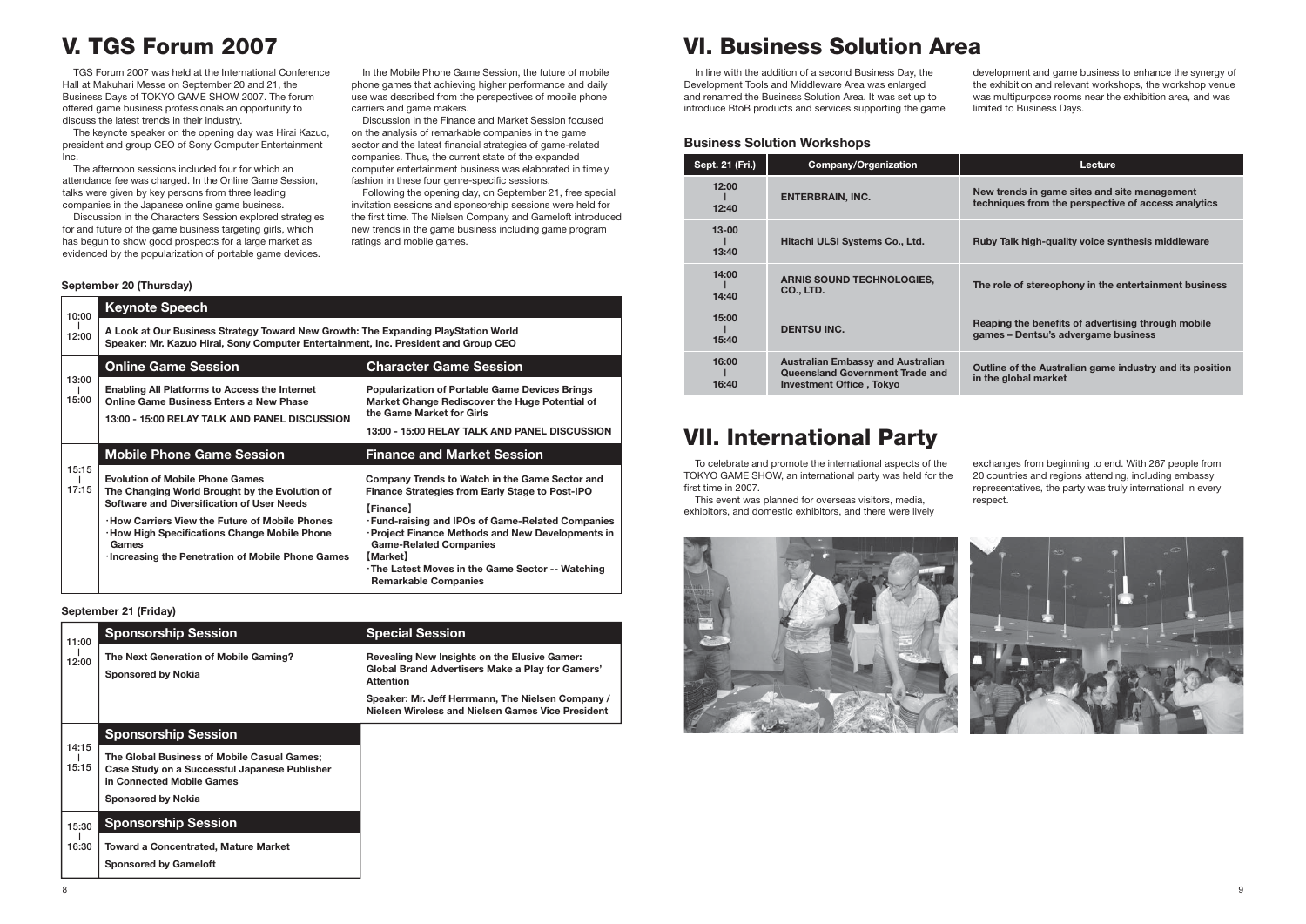### **V. TGS Forum 2007**

 TGS Forum 2007 was held at the International Conference Hall at Makuhari Messe on September 20 and 21, the Business Days of TOKYO GAME SHOW 2007. The forum offered game business professionals an opportunity to discuss the latest trends in their industry.

 The keynote speaker on the opening day was Hirai Kazuo, president and group CEO of Sony Computer Entertainment Inc.

 The afternoon sessions included four for which an attendance fee was charged. In the Online Game Session, talks were given by key persons from three leading companies in the Japanese online game business.

 Discussion in the Characters Session explored strategies for and future of the game business targeting girls, which has begun to show good prospects for a large market as evidenced by the popularization of portable game devices.

 In the Mobile Phone Game Session, the future of mobile phone games that achieving higher performance and daily use was described from the perspectives of mobile phone carriers and game makers.

 Discussion in the Finance and Market Session focused on the analysis of remarkable companies in the game sector and the latest financial strategies of game-related companies. Thus, the current state of the expanded computer entertainment business was elaborated in timely fashion in these four genre-specific sessions.

 Following the opening day, on September 21, free special invitation sessions and sponsorship sessions were held for the first time. The Nielsen Company and Gameloft introduced new trends in the game business including game program ratings and mobile games.

| 10:00          | <b>Keynote Speech</b>                                                                                                                                                     |                                                                                                                                                                                       |
|----------------|---------------------------------------------------------------------------------------------------------------------------------------------------------------------------|---------------------------------------------------------------------------------------------------------------------------------------------------------------------------------------|
| 12:00          | A Look at Our Business Strategy Toward New Growth: The Expanding PlayStation World<br>Speaker: Mr. Kazuo Hirai, Sony Computer Entertainment, Inc. President and Group CEO |                                                                                                                                                                                       |
|                | <b>Online Game Session</b>                                                                                                                                                | <b>Character Game Session</b>                                                                                                                                                         |
| 13:00<br>15:00 | <b>Enabling All Platforms to Access the Internet</b><br><b>Online Game Business Enters a New Phase</b><br>13:00 - 15:00 RELAY TALK AND PANEL DISCUSSION                   | <b>Popularization of Portable Game Devices Brings</b><br>Market Change Rediscover the Huge Potential of<br>the Game Market for Girls<br>13:00 - 15:00 RELAY TALK AND PANEL DISCUSSION |
|                |                                                                                                                                                                           |                                                                                                                                                                                       |
| 15:15          | <b>Mobile Phone Game Session</b>                                                                                                                                          | <b>Finance and Market Session</b>                                                                                                                                                     |

#### **September 20 (Thursday)**

| 11:00          | <b>Sponsorship Session</b>                                                                                                                             | <b>Special Session</b>                                                                                                             |
|----------------|--------------------------------------------------------------------------------------------------------------------------------------------------------|------------------------------------------------------------------------------------------------------------------------------------|
| 12:00          | The Next Generation of Mobile Gaming?<br><b>Sponsored by Nokia</b>                                                                                     | <b>Revealing New Insights on the Elusive Gamer:</b><br><b>Global Brand Advertisers Make a Play for Gamers'</b><br><b>Attention</b> |
|                |                                                                                                                                                        | Speaker: Mr. Jeff Herrmann, The Nielsen Company /<br>Nielsen Wireless and Nielsen Games Vice President                             |
|                | <b>Sponsorship Session</b>                                                                                                                             |                                                                                                                                    |
| 14:15<br>15:15 | The Global Business of Mobile Casual Games;<br>Case Study on a Successful Japanese Publisher<br>in Connected Mobile Games<br><b>Sponsored by Nokia</b> |                                                                                                                                    |
| 15:30          | <b>Sponsorship Session</b>                                                                                                                             |                                                                                                                                    |
| 16:30          | <b>Toward a Concentrated, Mature Market</b>                                                                                                            |                                                                                                                                    |

**Sponsored by Gameloft**

#### **September 21 (Friday)**

## **VI. Business Solution Area**

 In line with the addition of a second Business Day, the Development Tools and Middleware Area was enlarged and renamed the Business Solution Area. It was set up to introduce BtoB products and services supporting the game

development and game business to enhance the synergy of the exhibition and relevant workshops, the workshop venue was multipurpose rooms near the exhibition area, and was limited to Business Days.

#### **Lecture Lecture**

#### **Business Solution Workshops**

| Sept. 21 (Fri.)    | <b>Company/Organization</b>                                                                                           |                   |
|--------------------|-----------------------------------------------------------------------------------------------------------------------|-------------------|
| 12:00<br>12:40     | <b>ENTERBRAIN, INC.</b>                                                                                               | <b>Ney</b><br>tec |
| $13 - 00$<br>13:40 | Hitachi ULSI Systems Co., Ltd.                                                                                        | Ruk               |
| 14:00<br>14:40     | <b>ARNIS SOUND TECHNOLOGIES,</b><br><b>CO., LTD.</b>                                                                  | The               |
| 15:00<br>15:40     | <b>DENTSU INC.</b>                                                                                                    | Rea<br>gar        |
| 16:00<br>16:40     | <b>Australian Embassy and Australian</b><br><b>Queensland Government Trade and</b><br><b>Investment Office, Tokyo</b> | Out<br>in tl      |

**New trends in game sites and site management techniques from the perspective of access analytics**

**Ruby Talk high-quality voice synthesis middleware**

**The role of stereophony in the entertainment business**

**Reaping the benefits of advertising through mobile games – Dentsu's advergame business**

**Outline of the Australian game industry and its position in the global market**

## **VII. International Party**

 To celebrate and promote the international aspects of the TOKYO GAME SHOW, an international party was held for the first time in 2007.

 This event was planned for overseas visitors, media, exhibitors, and domestic exhibitors, and there were lively



exchanges from beginning to end. With 267 people from 20 countries and regions attending, including embassy representatives, the party was truly international in every respect.

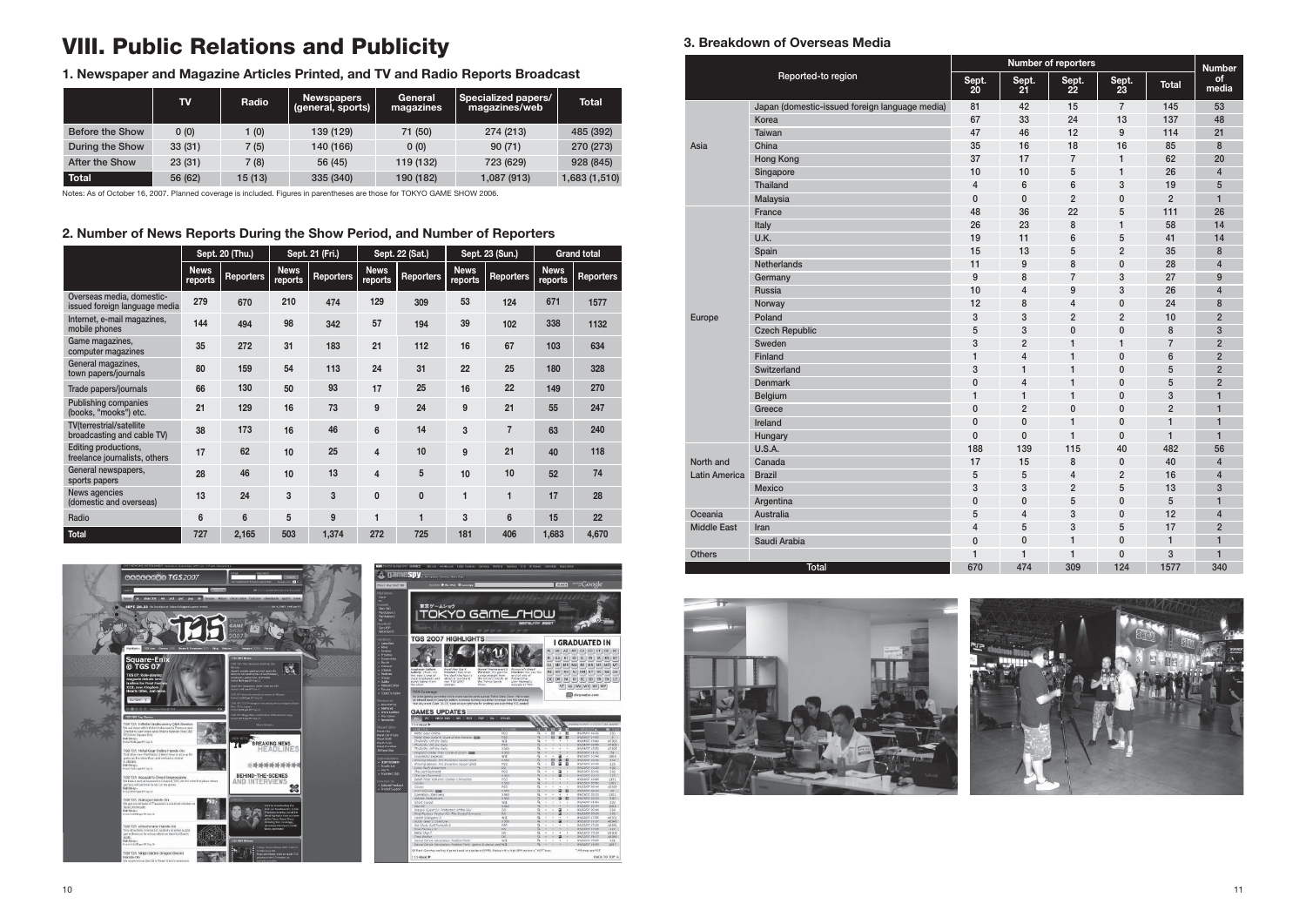### **3. Breakdown of Overseas Media**

|                      |                                                | <b>Number of reporters</b> |                  |                     |                                                                                                                                                                                                                                                                                                                                                                                                                                                                                                                                                                                                                       |              | <b>Number</b>           |
|----------------------|------------------------------------------------|----------------------------|------------------|---------------------|-----------------------------------------------------------------------------------------------------------------------------------------------------------------------------------------------------------------------------------------------------------------------------------------------------------------------------------------------------------------------------------------------------------------------------------------------------------------------------------------------------------------------------------------------------------------------------------------------------------------------|--------------|-------------------------|
|                      | Reported-to region                             | Sept.<br>20                | Sept.<br>21      | Sept.<br><u> 22</u> | Sept.<br>$23$                                                                                                                                                                                                                                                                                                                                                                                                                                                                                                                                                                                                         | <b>Total</b> | <b>of</b><br>media      |
|                      | Japan (domestic-issued foreign language media) | 81                         | 42               | 15                  | $\overline{7}$                                                                                                                                                                                                                                                                                                                                                                                                                                                                                                                                                                                                        | 145          | 53                      |
|                      | Korea                                          | 67                         | 33               | 24                  |                                                                                                                                                                                                                                                                                                                                                                                                                                                                                                                                                                                                                       |              | 48                      |
|                      | <b>Taiwan</b>                                  | 47                         | 46               | 12                  | 9                                                                                                                                                                                                                                                                                                                                                                                                                                                                                                                                                                                                                     |              | 21                      |
| Asia                 | China                                          | 35                         | 16               | 18                  | 13<br>137<br>114<br>16<br>85<br>62<br>$\mathbf{1}$<br>$\mathbf{1}$<br>26<br>3<br>19<br>$\overline{2}$<br>$\mathbf{0}$<br>111<br>5<br>$\mathbf{1}$<br>58<br>5<br>41<br>$\overline{2}$<br>35<br>$\pmb{0}$<br>28<br>3<br>27<br>3<br>26<br>$\pmb{0}$<br>24<br>$\overline{2}$<br>10<br>$\mathbf 0$<br>8<br>$\overline{7}$<br>$\mathbf{1}$<br>6<br>$\mathbf{0}$<br>5<br>0<br>5<br>$\mathbf{0}$<br>3<br>0<br>$\overline{2}$<br>$\mathbf 0$<br>$\mathbf{1}$<br>$\pmb{0}$<br>$\mathbf{1}$<br>$\pmb{0}$<br>482<br>40<br>$\pmb{0}$<br>40<br>$\overline{2}$<br>16<br>5<br>13<br>5<br>$\mathbf 0$<br>12<br>$\mathbf{0}$<br>5<br>17 | 8            |                         |
|                      | <b>Hong Kong</b>                               | 37                         | 17               | $\overline{7}$      |                                                                                                                                                                                                                                                                                                                                                                                                                                                                                                                                                                                                                       |              | 20                      |
|                      | Singapore                                      | 10                         | 10               | 5                   |                                                                                                                                                                                                                                                                                                                                                                                                                                                                                                                                                                                                                       |              | $\overline{\mathbf{4}}$ |
|                      | Thailand                                       | 4                          | $\boldsymbol{6}$ | $6\phantom{1}$      |                                                                                                                                                                                                                                                                                                                                                                                                                                                                                                                                                                                                                       |              | 5                       |
|                      | Malaysia                                       | $\mathbf 0$                | $\mathbf{0}$     | $\overline{2}$      |                                                                                                                                                                                                                                                                                                                                                                                                                                                                                                                                                                                                                       |              | 1                       |
|                      | France                                         | 48                         | 36               | 22                  |                                                                                                                                                                                                                                                                                                                                                                                                                                                                                                                                                                                                                       |              | 26                      |
|                      | Italy                                          | 26                         | 23               | 8                   |                                                                                                                                                                                                                                                                                                                                                                                                                                                                                                                                                                                                                       |              | 14                      |
|                      | U.K.                                           | 19                         | 11               | 6                   |                                                                                                                                                                                                                                                                                                                                                                                                                                                                                                                                                                                                                       |              | 14                      |
|                      | Spain                                          | 15                         | 13               | 5                   |                                                                                                                                                                                                                                                                                                                                                                                                                                                                                                                                                                                                                       |              | 8                       |
|                      | Netherlands                                    | 11                         | 9                | 8                   |                                                                                                                                                                                                                                                                                                                                                                                                                                                                                                                                                                                                                       |              | $\overline{4}$          |
|                      | Germany                                        | 9                          | 8                | $\overline{7}$      |                                                                                                                                                                                                                                                                                                                                                                                                                                                                                                                                                                                                                       |              | 9                       |
|                      | <b>Russia</b>                                  | 10                         | $\overline{4}$   | 9                   |                                                                                                                                                                                                                                                                                                                                                                                                                                                                                                                                                                                                                       |              | 4                       |
|                      | Norway                                         | 12                         | 8                | $\overline{4}$      |                                                                                                                                                                                                                                                                                                                                                                                                                                                                                                                                                                                                                       |              | 8                       |
| Europe               | Poland                                         | 3                          | 3                | $\overline{2}$      |                                                                                                                                                                                                                                                                                                                                                                                                                                                                                                                                                                                                                       |              | $\overline{2}$          |
|                      | <b>Czech Republic</b>                          | 5                          | 3                | $\mathbf 0$         |                                                                                                                                                                                                                                                                                                                                                                                                                                                                                                                                                                                                                       |              | 3                       |
|                      | Sweden                                         | 3                          | $\overline{2}$   | 1                   |                                                                                                                                                                                                                                                                                                                                                                                                                                                                                                                                                                                                                       |              | $\overline{2}$          |
|                      | <b>Finland</b>                                 | $\mathbf{1}$               | $\overline{4}$   | $\mathbf{1}$        |                                                                                                                                                                                                                                                                                                                                                                                                                                                                                                                                                                                                                       |              | $\overline{2}$          |
|                      | Switzerland                                    | 3                          | $\mathbf{1}$     | $\mathbf{1}$        |                                                                                                                                                                                                                                                                                                                                                                                                                                                                                                                                                                                                                       |              | $\overline{2}$          |
|                      | <b>Denmark</b>                                 | $\mathbf 0$                | $\overline{4}$   | $\mathbf{1}$        |                                                                                                                                                                                                                                                                                                                                                                                                                                                                                                                                                                                                                       |              | $\overline{2}$          |
|                      | Belgium                                        | $\mathbf{1}$               | $\mathbf{1}$     | $\mathbf{1}$        |                                                                                                                                                                                                                                                                                                                                                                                                                                                                                                                                                                                                                       |              | 1                       |
|                      | Greece                                         | $\mathbf 0$                | $\overline{2}$   | $\mathbf 0$         |                                                                                                                                                                                                                                                                                                                                                                                                                                                                                                                                                                                                                       |              | $\overline{\mathbf{1}}$ |
|                      | Ireland                                        | $\mathbf{0}$               | $\mathbf 0$      | $\mathbf{1}$        |                                                                                                                                                                                                                                                                                                                                                                                                                                                                                                                                                                                                                       |              | 1                       |
|                      | Hungary                                        | $\mathbf 0$                | $\mathbf 0$      | $\mathbf{1}$        |                                                                                                                                                                                                                                                                                                                                                                                                                                                                                                                                                                                                                       |              | $\overline{\mathbf{1}}$ |
|                      | U.S.A.                                         | 188                        | 139              | 115                 |                                                                                                                                                                                                                                                                                                                                                                                                                                                                                                                                                                                                                       |              | 56                      |
| North and            | Canada                                         | 17                         | 15               | 8                   |                                                                                                                                                                                                                                                                                                                                                                                                                                                                                                                                                                                                                       |              | 4                       |
| <b>Latin America</b> | <b>Brazil</b>                                  | 5                          | 5                | $\overline{4}$      |                                                                                                                                                                                                                                                                                                                                                                                                                                                                                                                                                                                                                       |              | 4                       |
|                      | Mexico                                         | 3                          | 3                | $\overline{2}$      |                                                                                                                                                                                                                                                                                                                                                                                                                                                                                                                                                                                                                       |              | 3                       |
|                      | Argentina                                      | $\mathbf 0$                | $\mathbf 0$      | 5                   |                                                                                                                                                                                                                                                                                                                                                                                                                                                                                                                                                                                                                       |              | 1                       |
| Oceania              | Australia                                      | 5                          | 4                | 3                   |                                                                                                                                                                                                                                                                                                                                                                                                                                                                                                                                                                                                                       |              | 4                       |
| <b>Middle East</b>   | Iran                                           | $\overline{4}$             | 5                | 3                   |                                                                                                                                                                                                                                                                                                                                                                                                                                                                                                                                                                                                                       |              | $\overline{2}$          |
|                      | Saudi Arabia                                   | $\mathbf{0}$               | $\mathbf{0}$     | 1                   | $\mathbf{0}$                                                                                                                                                                                                                                                                                                                                                                                                                                                                                                                                                                                                          | 1            | 1                       |
| <b>Others</b>        |                                                | 1                          | $\mathbf{1}$     | 1                   | $\pmb{0}$                                                                                                                                                                                                                                                                                                                                                                                                                                                                                                                                                                                                             | 3            | $\mathbf{1}$            |
|                      | Total                                          | 670                        | 474              | 309                 | 124                                                                                                                                                                                                                                                                                                                                                                                                                                                                                                                                                                                                                   | 1577         | 340                     |



# **VIII. Public Relations and Publicity**

**1. Newspaper and Magazine Articles Printed, and TV and Radio Reports Broadcast**

|                        | TV      | Radio   | <b>Newspapers</b><br>(general, sports) | General<br>magazines | Specialized papers/<br>magazines/web | <b>Total</b>  |
|------------------------|---------|---------|----------------------------------------|----------------------|--------------------------------------|---------------|
| <b>Before the Show</b> | 0(0)    | 1 (0)   | 139 (129)                              | 71 (50)              | 274 (213)                            | 485 (392)     |
| During the Show        | 33(31)  | 7 (5)   | 140 (166)                              | 0(0)                 | 90(71)                               | 270 (273)     |
| <b>After the Show</b>  | 23(31)  | 7 (8)   | 56 (45)                                | 119 (132)            | 723 (629)                            | 928 (845)     |
| <b>Total</b>           | 56 (62) | 15 (13) | 335 (340)                              | 190 (182)            | 1,087 (913)                          | 1,683 (1,510) |

Notes: As of October 16, 2007. Planned coverage is included. Figures in parentheses are those for TOKYO GAME SHOW 2006.

### **2. Number of News Reports During the Show Period, and Number of Reporters**

|                                                                | Sept. 20 (Thu.)        |                  | Sept. 21 (Fri.)        |           | Sept. 22 (Sat.)               |                  | Sept. 23 (Sun.)        |                  | <b>Grand total</b>     |                  |
|----------------------------------------------------------------|------------------------|------------------|------------------------|-----------|-------------------------------|------------------|------------------------|------------------|------------------------|------------------|
|                                                                | <b>News</b><br>reports | <b>Reporters</b> | <b>News</b><br>reports | Reporters | <b>News</b><br><b>reports</b> | <b>Reporters</b> | <b>News</b><br>reports | <b>Reporters</b> | <b>News</b><br>reports | <b>Reporters</b> |
| Overseas media, domestic-<br>issued foreign language media     | 279                    | 670              | 210                    | 474       | 129                           | 309              | 53                     | 124              | 671                    | 1577             |
| Internet, e-mail magazines,<br>mobile phones                   | 144                    | 494              | 98                     | 342       | 57                            | 194              | 39                     | 102              | 338                    | 1132             |
| Game magazines,<br>computer magazines                          | 35                     | 272              | 31                     | 183       | 21                            | 112              | 16                     | 67               | 103                    | 634              |
| General magazines,<br>town papers/journals                     | 80                     | 159              | 54                     | 113       | 24                            | 31               | 22                     | 25               | 180                    | 328              |
| Trade papers/journals                                          | 66                     | 130              | 50                     | 93        | 17                            | 25               | 16                     | 22               | 149                    | 270              |
| Publishing companies<br>(books, "mooks") etc.                  | 21                     | 129              | 16                     | 73        | 9                             | 24               | 9                      | 21               | 55                     | 247              |
| <b>TV</b> (terrestrial/satellite<br>broadcasting and cable TV) | 38                     | 173              | 16                     | 46        | 6                             | 14               | 3                      | $\overline{7}$   | 63                     | 240              |
| Editing productions,<br>freelance journalists, others          | 17                     | 62               | 10                     | 25        | 4                             | 10               | 9                      | 21               | 40                     | 118              |
| General newspapers,<br>sports papers                           | 28                     | 46               | 10                     | 13        | 4                             | 5                | 10                     | 10               | 52                     | 74               |
| News agencies<br>(domestic and overseas)                       | 13                     | 24               | 3                      | 3         | $\mathbf{0}$                  | 0                | 1                      | 1                | 17                     | 28               |
| Radio                                                          | 6                      | $6\phantom{1}$   | 5                      | 9         | 1                             | 1                | 3                      | $6\phantom{1}6$  | 15                     | 22               |
| <b>Total</b>                                                   | 727                    | 2,165            | 503                    | 1,374     | 272                           | 725              | 181                    | 406              | 1,683                  | 4,670            |